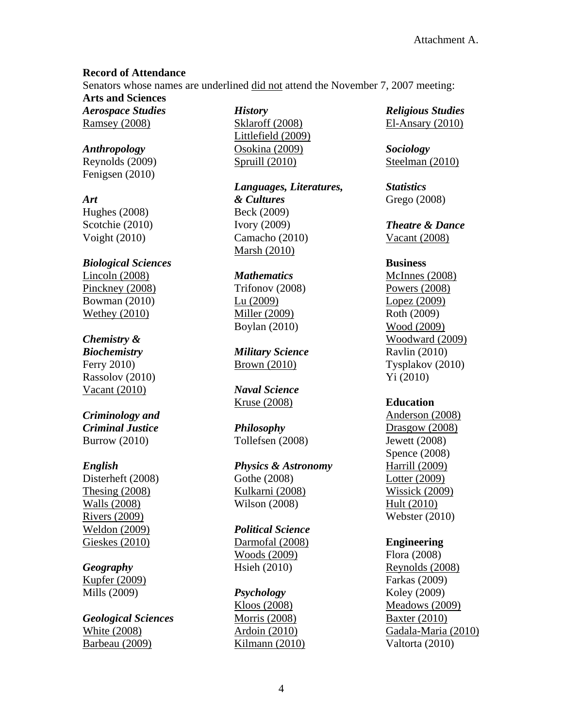### **Record of Attendance**

Senators whose names are underlined did not attend the November 7, 2007 meeting:

**Arts and Sciences**  *Aerospace Studies* Ramsey (2008)

*Anthropology* Reynolds (2009) Fenigsen (2010)

*Art* 

Hughes (2008) Scotchie (2010) Voight (2010)

*Biological Sciences* Lincoln (2008) Pinckney (2008) Bowman (2010) Wethey (2010)

# *Chemistry &*

*Biochemistry*  Ferry 2010) Rassolov (2010) Vacant (2010)

### *Criminology and Criminal Justice*  Burrow (2010)

# *English*

Disterheft (2008) Thesing (2008) Walls (2008) Rivers (2009) Weldon (2009) Gieskes (2010)

# *Geography*

Kupfer (2009) Mills (2009)

*Geological Sciences*  White (2008) Barbeau (2009)

*History*  Sklaroff (2008) Littlefield (2009) Osokina (2009) Spruill (2010)

*Languages, Literatures, & Cultures* Beck (2009) Ivory (2009) Camacho (2010) Marsh (2010)

### *Mathematics*

Trifonov (2008) Lu (2009) Miller (2009) Boylan (2010)

*Military Science*  Brown (2010)

*Naval Science*  Kruse (2008)

*Philosophy* Tollefsen (2008)

*Physics & Astronomy* Gothe (2008) Kulkarni (2008) Wilson (2008)

*Political Science*  Darmofal (2008) Woods (2009) Hsieh (2010)

# *Psychology*

Kloos (2008) Morris (2008) Ardoin (2010) Kilmann (2010) *Religious Studies*  El-Ansary (2010)

*Sociology*  Steelman (2010)

*Statistics* Grego (2008)

*Theatre & Dance*  Vacant (2008)

### **Business**

McInnes (2008) Powers (2008) Lopez (2009) Roth (2009) Wood (2009) Woodward (2009) Ravlin (2010) Tysplakov (2010) Yi (2010)

# **Education**

Anderson (2008) Drasgow (2008) Jewett (2008) Spence (2008) Harrill (2009) Lotter (2009) Wissick (2009) Hult (2010) Webster (2010)

# **Engineering**

Flora (2008) Reynolds (2008) Farkas (2009) Koley (2009) Meadows (2009) Baxter (2010) Gadala-Maria (2010) Valtorta (2010)